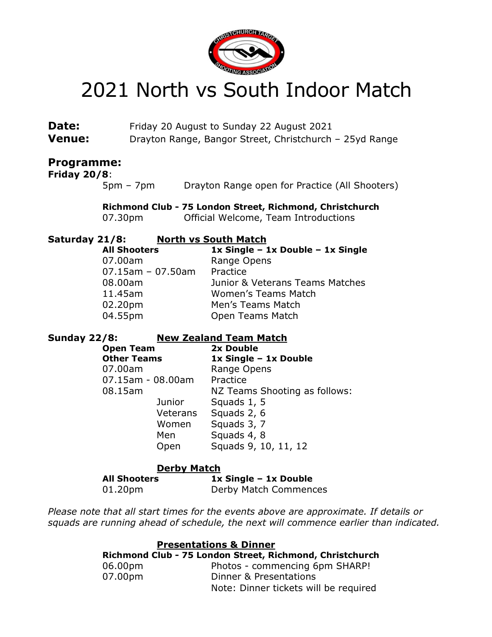

## 2021 North vs South Indoor Match

| Date:                                    | Friday 20 August to Sunday 22 August 2021                                                          |                    |                                                                                                                                                                                                |
|------------------------------------------|----------------------------------------------------------------------------------------------------|--------------------|------------------------------------------------------------------------------------------------------------------------------------------------------------------------------------------------|
| <b>Venue:</b>                            | Drayton Range, Bangor Street, Christchurch - 25yd Range                                            |                    |                                                                                                                                                                                                |
| <b>Programme:</b><br><b>Friday 20/8:</b> | $5pm - 7pm$                                                                                        |                    | Drayton Range open for Practice (All Shooters)                                                                                                                                                 |
|                                          | 07.30pm                                                                                            |                    | Richmond Club - 75 London Street, Richmond, Christchurch<br>Official Welcome, Team Introductions                                                                                               |
| Saturday 21/8:                           | <b>All Shooters</b><br>07.00am<br>$07.15$ am - 07.50am<br>08.00am<br>11.45am<br>02.20pm<br>04.55pm |                    | <b>North vs South Match</b><br>1x Single - 1x Double - 1x Single<br>Range Opens<br>Practice<br>Junior & Veterans Teams Matches<br>Women's Teams Match<br>Men's Teams Match<br>Open Teams Match |
| <b>Sunday 22/8:</b>                      |                                                                                                    |                    | <b>New Zealand Team Match</b>                                                                                                                                                                  |
|                                          | <b>Open Team</b><br><b>Other Teams</b>                                                             |                    | 2x Double                                                                                                                                                                                      |
|                                          |                                                                                                    |                    | 1x Single - 1x Double                                                                                                                                                                          |
|                                          | 07.00am                                                                                            |                    | Range Opens                                                                                                                                                                                    |
|                                          | 07.15am - 08.00am                                                                                  |                    | Practice                                                                                                                                                                                       |
|                                          | 08.15am                                                                                            |                    | NZ Teams Shooting as follows:                                                                                                                                                                  |
|                                          |                                                                                                    | Junior             | Squads 1, 5                                                                                                                                                                                    |
|                                          |                                                                                                    | Veterans           | Squads 2, 6                                                                                                                                                                                    |
|                                          |                                                                                                    | Women<br>Men       | Squads 3, 7                                                                                                                                                                                    |
|                                          |                                                                                                    | Open               | Squads 4, 8<br>Squads 9, 10, 11, 12                                                                                                                                                            |
|                                          |                                                                                                    | <b>Derby Match</b> |                                                                                                                                                                                                |
|                                          | <b>All Shooters</b>                                                                                |                    | 1x Single - 1x Double                                                                                                                                                                          |
|                                          | 01.20pm                                                                                            |                    | Derby Match Commences                                                                                                                                                                          |

Please note that all start times for the events above are approximate. If details or squads are running ahead of schedule, the next will commence earlier than indicated.

| <b>Presentations &amp; Dinner</b> |                                                          |  |  |  |
|-----------------------------------|----------------------------------------------------------|--|--|--|
|                                   | Richmond Club - 75 London Street, Richmond, Christchurch |  |  |  |
| 06.00pm                           | Photos - commencing 6pm SHARP!                           |  |  |  |
| 07.00pm                           | Dinner & Presentations                                   |  |  |  |
|                                   | Note: Dinner tickets will be required                    |  |  |  |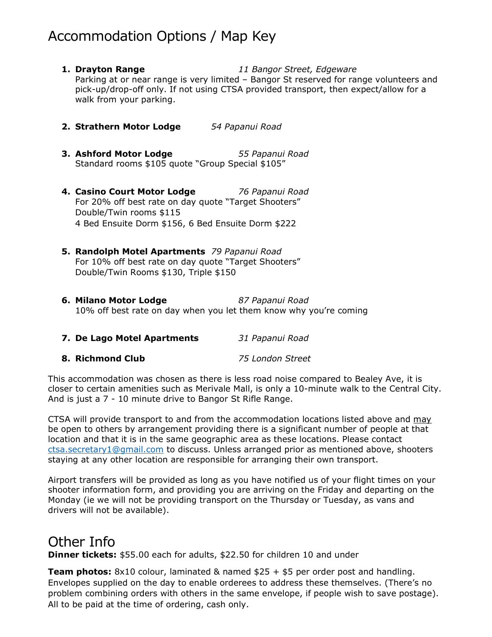## Accommodation Options / Map Key

- **1. Drayton Range** 11 Bangor Street, Edgeware Parking at or near range is very limited – Bangor St reserved for range volunteers and pick-up/drop-off only. If not using CTSA provided transport, then expect/allow for a walk from your parking.
- 2. Strathern Motor Lodge 54 Papanui Road
- **3. Ashford Motor Lodge** 55 Papanui Road Standard rooms \$105 quote "Group Special \$105"
- 4. Casino Court Motor Lodge 76 Papanui Road For 20% off best rate on day quote "Target Shooters" Double/Twin rooms \$115 4 Bed Ensuite Dorm \$156, 6 Bed Ensuite Dorm \$222
- 5. Randolph Motel Apartments 79 Papanui Road For 10% off best rate on day quote "Target Shooters" Double/Twin Rooms \$130, Triple \$150
- 6. Milano Motor Lodge 87 Papanui Road 10% off best rate on day when you let them know why you're coming
- 7. De Lago Motel Apartments 31 Papanui Road
- 8. Richmond Club 75 London Street

This accommodation was chosen as there is less road noise compared to Bealey Ave, it is closer to certain amenities such as Merivale Mall, is only a 10-minute walk to the Central City. And is just a 7 - 10 minute drive to Bangor St Rifle Range.

CTSA will provide transport to and from the accommodation locations listed above and may be open to others by arrangement providing there is a significant number of people at that location and that it is in the same geographic area as these locations. Please contact ctsa.secretary1@gmail.com to discuss. Unless arranged prior as mentioned above, shooters staying at any other location are responsible for arranging their own transport.

Airport transfers will be provided as long as you have notified us of your flight times on your shooter information form, and providing you are arriving on the Friday and departing on the Monday (ie we will not be providing transport on the Thursday or Tuesday, as vans and drivers will not be available).

## Other Info

**Dinner tickets:** \$55.00 each for adults, \$22.50 for children 10 and under

**Team photos:** 8x10 colour, laminated & named  $$25 + $5$  per order post and handling. Envelopes supplied on the day to enable orderees to address these themselves. (There's no problem combining orders with others in the same envelope, if people wish to save postage). All to be paid at the time of ordering, cash only.